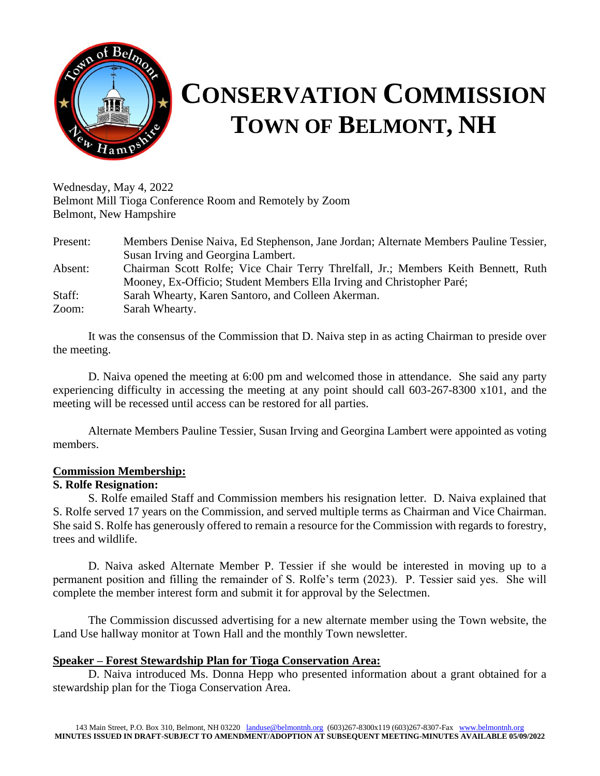

# **CONSERVATION COMMISSION TOWN OF BELMONT, NH**

Wednesday, May 4, 2022 Belmont Mill Tioga Conference Room and Remotely by Zoom Belmont, New Hampshire

| Present: | Members Denise Naiva, Ed Stephenson, Jane Jordan; Alternate Members Pauline Tessier, |
|----------|--------------------------------------------------------------------------------------|
|          | Susan Irving and Georgina Lambert.                                                   |
| Absent:  | Chairman Scott Rolfe; Vice Chair Terry Threlfall, Jr.; Members Keith Bennett, Ruth   |
|          | Mooney, Ex-Officio; Student Members Ella Irving and Christopher Paré;                |
| Staff:   | Sarah Whearty, Karen Santoro, and Colleen Akerman.                                   |
| Zoom:    | Sarah Whearty.                                                                       |

It was the consensus of the Commission that D. Naiva step in as acting Chairman to preside over the meeting.

D. Naiva opened the meeting at 6:00 pm and welcomed those in attendance. She said any party experiencing difficulty in accessing the meeting at any point should call 603-267-8300 x101, and the meeting will be recessed until access can be restored for all parties.

Alternate Members Pauline Tessier, Susan Irving and Georgina Lambert were appointed as voting members.

#### **Commission Membership:**

# **S. Rolfe Resignation:**

S. Rolfe emailed Staff and Commission members his resignation letter. D. Naiva explained that S. Rolfe served 17 years on the Commission, and served multiple terms as Chairman and Vice Chairman. She said S. Rolfe has generously offered to remain a resource for the Commission with regards to forestry, trees and wildlife.

D. Naiva asked Alternate Member P. Tessier if she would be interested in moving up to a permanent position and filling the remainder of S. Rolfe's term (2023). P. Tessier said yes. She will complete the member interest form and submit it for approval by the Selectmen.

The Commission discussed advertising for a new alternate member using the Town website, the Land Use hallway monitor at Town Hall and the monthly Town newsletter.

# **Speaker – Forest Stewardship Plan for Tioga Conservation Area:**

D. Naiva introduced Ms. Donna Hepp who presented information about a grant obtained for a stewardship plan for the Tioga Conservation Area.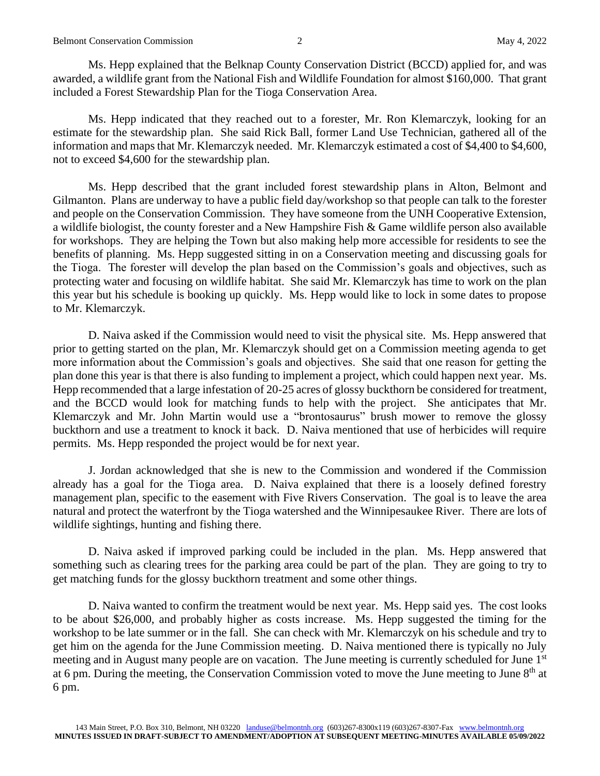Ms. Hepp explained that the Belknap County Conservation District (BCCD) applied for, and was awarded, a wildlife grant from the National Fish and Wildlife Foundation for almost \$160,000. That grant included a Forest Stewardship Plan for the Tioga Conservation Area.

Ms. Hepp indicated that they reached out to a forester, Mr. Ron Klemarczyk, looking for an estimate for the stewardship plan. She said Rick Ball, former Land Use Technician, gathered all of the information and maps that Mr. Klemarczyk needed. Mr. Klemarczyk estimated a cost of \$4,400 to \$4,600, not to exceed \$4,600 for the stewardship plan.

Ms. Hepp described that the grant included forest stewardship plans in Alton, Belmont and Gilmanton. Plans are underway to have a public field day/workshop so that people can talk to the forester and people on the Conservation Commission. They have someone from the UNH Cooperative Extension, a wildlife biologist, the county forester and a New Hampshire Fish & Game wildlife person also available for workshops. They are helping the Town but also making help more accessible for residents to see the benefits of planning. Ms. Hepp suggested sitting in on a Conservation meeting and discussing goals for the Tioga. The forester will develop the plan based on the Commission's goals and objectives, such as protecting water and focusing on wildlife habitat. She said Mr. Klemarczyk has time to work on the plan this year but his schedule is booking up quickly. Ms. Hepp would like to lock in some dates to propose to Mr. Klemarczyk.

D. Naiva asked if the Commission would need to visit the physical site. Ms. Hepp answered that prior to getting started on the plan, Mr. Klemarczyk should get on a Commission meeting agenda to get more information about the Commission's goals and objectives. She said that one reason for getting the plan done this year is that there is also funding to implement a project, which could happen next year. Ms. Hepp recommended that a large infestation of 20-25 acres of glossy buckthorn be considered for treatment, and the BCCD would look for matching funds to help with the project. She anticipates that Mr. Klemarczyk and Mr. John Martin would use a "brontosaurus" brush mower to remove the glossy buckthorn and use a treatment to knock it back. D. Naiva mentioned that use of herbicides will require permits. Ms. Hepp responded the project would be for next year.

J. Jordan acknowledged that she is new to the Commission and wondered if the Commission already has a goal for the Tioga area. D. Naiva explained that there is a loosely defined forestry management plan, specific to the easement with Five Rivers Conservation. The goal is to leave the area natural and protect the waterfront by the Tioga watershed and the Winnipesaukee River. There are lots of wildlife sightings, hunting and fishing there.

D. Naiva asked if improved parking could be included in the plan. Ms. Hepp answered that something such as clearing trees for the parking area could be part of the plan. They are going to try to get matching funds for the glossy buckthorn treatment and some other things.

D. Naiva wanted to confirm the treatment would be next year. Ms. Hepp said yes. The cost looks to be about \$26,000, and probably higher as costs increase. Ms. Hepp suggested the timing for the workshop to be late summer or in the fall. She can check with Mr. Klemarczyk on his schedule and try to get him on the agenda for the June Commission meeting. D. Naiva mentioned there is typically no July meeting and in August many people are on vacation. The June meeting is currently scheduled for June 1st at 6 pm. During the meeting, the Conservation Commission voted to move the June meeting to June 8<sup>th</sup> at 6 pm.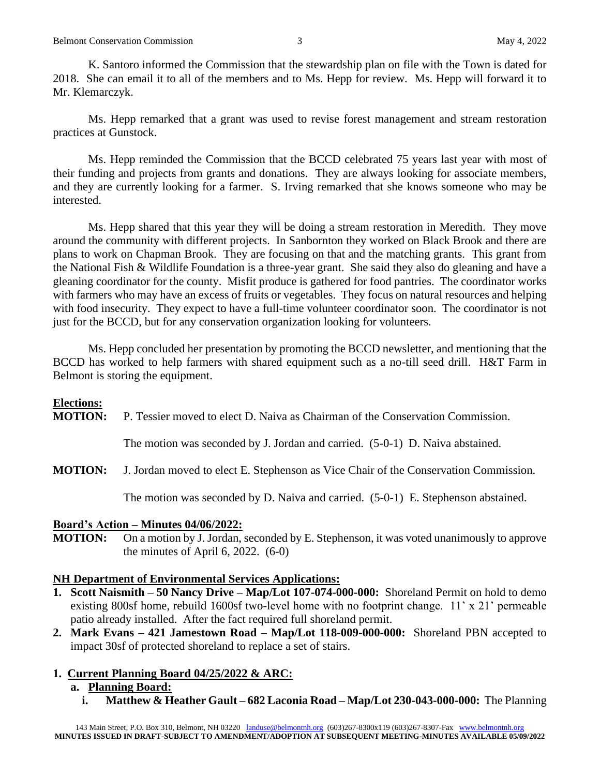K. Santoro informed the Commission that the stewardship plan on file with the Town is dated for 2018. She can email it to all of the members and to Ms. Hepp for review. Ms. Hepp will forward it to Mr. Klemarczyk.

Ms. Hepp remarked that a grant was used to revise forest management and stream restoration practices at Gunstock.

Ms. Hepp reminded the Commission that the BCCD celebrated 75 years last year with most of their funding and projects from grants and donations. They are always looking for associate members, and they are currently looking for a farmer. S. Irving remarked that she knows someone who may be interested.

Ms. Hepp shared that this year they will be doing a stream restoration in Meredith. They move around the community with different projects. In Sanbornton they worked on Black Brook and there are plans to work on Chapman Brook. They are focusing on that and the matching grants. This grant from the National Fish & Wildlife Foundation is a three-year grant. She said they also do gleaning and have a gleaning coordinator for the county. Misfit produce is gathered for food pantries. The coordinator works with farmers who may have an excess of fruits or vegetables. They focus on natural resources and helping with food insecurity. They expect to have a full-time volunteer coordinator soon. The coordinator is not just for the BCCD, but for any conservation organization looking for volunteers.

Ms. Hepp concluded her presentation by promoting the BCCD newsletter, and mentioning that the BCCD has worked to help farmers with shared equipment such as a no-till seed drill. H&T Farm in Belmont is storing the equipment.

# **Elections:**

**MOTION:** P. Tessier moved to elect D. Naiva as Chairman of the Conservation Commission.

The motion was seconded by J. Jordan and carried. (5-0-1) D. Naiva abstained.

**MOTION:** J. Jordan moved to elect E. Stephenson as Vice Chair of the Conservation Commission.

The motion was seconded by D. Naiva and carried. (5-0-1) E. Stephenson abstained.

#### **Board's Action – Minutes 04/06/2022:**

**MOTION:** On a motion by J. Jordan, seconded by E. Stephenson, it was voted unanimously to approve the minutes of April 6, 2022.  $(6-0)$ 

# **NH Department of Environmental Services Applications:**

- **1. Scott Naismith – 50 Nancy Drive – Map/Lot 107-074-000-000:** Shoreland Permit on hold to demo existing 800sf home, rebuild 1600sf two-level home with no footprint change. 11' x 21' permeable patio already installed. After the fact required full shoreland permit.
- **2. Mark Evans – 421 Jamestown Road – Map/Lot 118-009-000-000:** Shoreland PBN accepted to impact 30sf of protected shoreland to replace a set of stairs.

# **1. Current Planning Board 04/25/2022 & ARC:**

# **a. Planning Board:**

**i. Matthew & Heather Gault – 682 Laconia Road – Map/Lot 230-043-000-000:** The Planning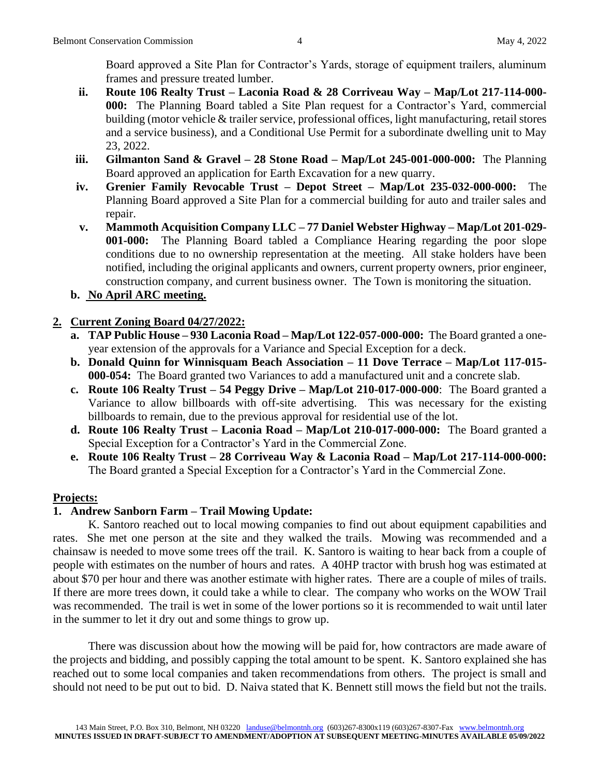Board approved a Site Plan for Contractor's Yards, storage of equipment trailers, aluminum frames and pressure treated lumber.

- **ii. Route 106 Realty Trust – Laconia Road & 28 Corriveau Way – Map/Lot 217-114-000- 000:** The Planning Board tabled a Site Plan request for a Contractor's Yard, commercial building (motor vehicle & trailer service, professional offices, light manufacturing, retail stores and a service business), and a Conditional Use Permit for a subordinate dwelling unit to May 23, 2022.
- **iii. Gilmanton Sand & Gravel – 28 Stone Road – Map/Lot 245-001-000-000:** The Planning Board approved an application for Earth Excavation for a new quarry.
- **iv. Grenier Family Revocable Trust – Depot Street – Map/Lot 235-032-000-000:** The Planning Board approved a Site Plan for a commercial building for auto and trailer sales and repair.
- **v. Mammoth Acquisition Company LLC – 77 Daniel Webster Highway – Map/Lot 201-029- 001-000:** The Planning Board tabled a Compliance Hearing regarding the poor slope conditions due to no ownership representation at the meeting. All stake holders have been notified, including the original applicants and owners, current property owners, prior engineer, construction company, and current business owner. The Town is monitoring the situation.
- **b. No April ARC meeting.**

# **2. Current Zoning Board 04/27/2022:**

- **a. TAP Public House – 930 Laconia Road – Map/Lot 122-057-000-000:** The Board granted a oneyear extension of the approvals for a Variance and Special Exception for a deck.
- **b. Donald Quinn for Winnisquam Beach Association – 11 Dove Terrace – Map/Lot 117-015- 000-054:** The Board granted two Variances to add a manufactured unit and a concrete slab.
- **c. Route 106 Realty Trust – 54 Peggy Drive – Map/Lot 210-017-000-000**: The Board granted a Variance to allow billboards with off-site advertising. This was necessary for the existing billboards to remain, due to the previous approval for residential use of the lot.
- **d. Route 106 Realty Trust – Laconia Road – Map/Lot 210-017-000-000:** The Board granted a Special Exception for a Contractor's Yard in the Commercial Zone.
- **e. Route 106 Realty Trust – 28 Corriveau Way & Laconia Road – Map/Lot 217-114-000-000:** The Board granted a Special Exception for a Contractor's Yard in the Commercial Zone.

# **Projects:**

# **1. Andrew Sanborn Farm – Trail Mowing Update:**

K. Santoro reached out to local mowing companies to find out about equipment capabilities and rates. She met one person at the site and they walked the trails. Mowing was recommended and a chainsaw is needed to move some trees off the trail. K. Santoro is waiting to hear back from a couple of people with estimates on the number of hours and rates. A 40HP tractor with brush hog was estimated at about \$70 per hour and there was another estimate with higher rates. There are a couple of miles of trails. If there are more trees down, it could take a while to clear. The company who works on the WOW Trail was recommended. The trail is wet in some of the lower portions so it is recommended to wait until later in the summer to let it dry out and some things to grow up.

There was discussion about how the mowing will be paid for, how contractors are made aware of the projects and bidding, and possibly capping the total amount to be spent. K. Santoro explained she has reached out to some local companies and taken recommendations from others. The project is small and should not need to be put out to bid. D. Naiva stated that K. Bennett still mows the field but not the trails.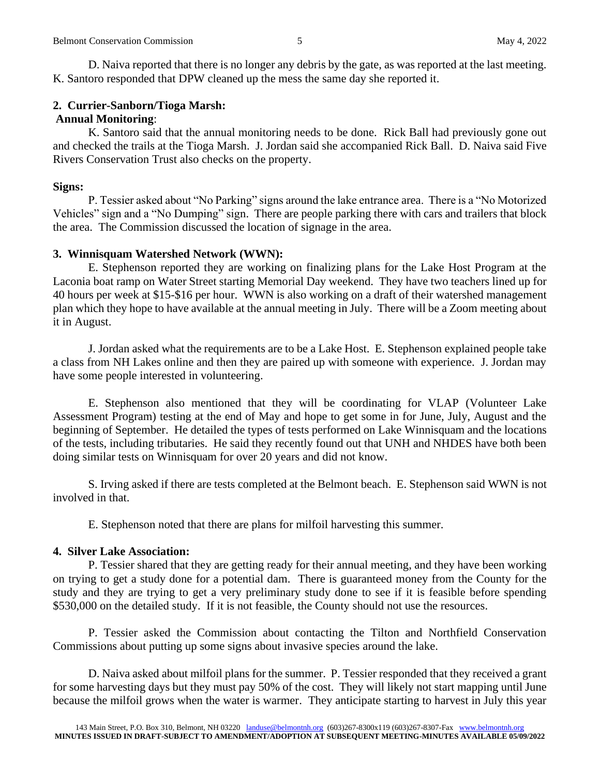D. Naiva reported that there is no longer any debris by the gate, as was reported at the last meeting. K. Santoro responded that DPW cleaned up the mess the same day she reported it.

#### **2. Currier-Sanborn/Tioga Marsh: Annual Monitoring**:

K. Santoro said that the annual monitoring needs to be done. Rick Ball had previously gone out and checked the trails at the Tioga Marsh. J. Jordan said she accompanied Rick Ball. D. Naiva said Five Rivers Conservation Trust also checks on the property.

#### **Signs:**

P. Tessier asked about "No Parking" signs around the lake entrance area. There is a "No Motorized Vehicles" sign and a "No Dumping" sign. There are people parking there with cars and trailers that block the area. The Commission discussed the location of signage in the area.

#### **3. Winnisquam Watershed Network (WWN):**

E. Stephenson reported they are working on finalizing plans for the Lake Host Program at the Laconia boat ramp on Water Street starting Memorial Day weekend. They have two teachers lined up for 40 hours per week at \$15-\$16 per hour. WWN is also working on a draft of their watershed management plan which they hope to have available at the annual meeting in July. There will be a Zoom meeting about it in August.

J. Jordan asked what the requirements are to be a Lake Host. E. Stephenson explained people take a class from NH Lakes online and then they are paired up with someone with experience. J. Jordan may have some people interested in volunteering.

E. Stephenson also mentioned that they will be coordinating for VLAP (Volunteer Lake Assessment Program) testing at the end of May and hope to get some in for June, July, August and the beginning of September. He detailed the types of tests performed on Lake Winnisquam and the locations of the tests, including tributaries. He said they recently found out that UNH and NHDES have both been doing similar tests on Winnisquam for over 20 years and did not know.

S. Irving asked if there are tests completed at the Belmont beach. E. Stephenson said WWN is not involved in that.

E. Stephenson noted that there are plans for milfoil harvesting this summer.

#### **4. Silver Lake Association:**

P. Tessier shared that they are getting ready for their annual meeting, and they have been working on trying to get a study done for a potential dam. There is guaranteed money from the County for the study and they are trying to get a very preliminary study done to see if it is feasible before spending \$530,000 on the detailed study. If it is not feasible, the County should not use the resources.

P. Tessier asked the Commission about contacting the Tilton and Northfield Conservation Commissions about putting up some signs about invasive species around the lake.

D. Naiva asked about milfoil plans for the summer. P. Tessier responded that they received a grant for some harvesting days but they must pay 50% of the cost. They will likely not start mapping until June because the milfoil grows when the water is warmer. They anticipate starting to harvest in July this year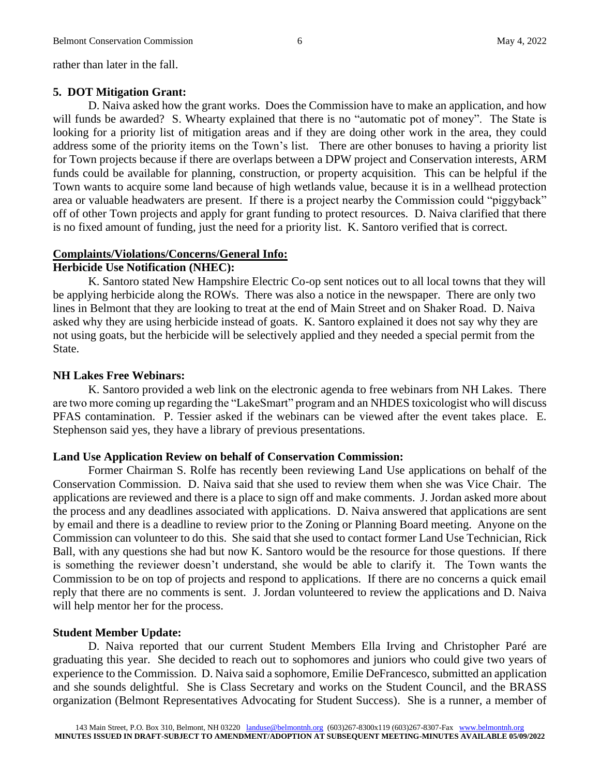rather than later in the fall.

#### **5. DOT Mitigation Grant:**

D. Naiva asked how the grant works. Does the Commission have to make an application, and how will funds be awarded? S. Whearty explained that there is no "automatic pot of money". The State is looking for a priority list of mitigation areas and if they are doing other work in the area, they could address some of the priority items on the Town's list. There are other bonuses to having a priority list for Town projects because if there are overlaps between a DPW project and Conservation interests, ARM funds could be available for planning, construction, or property acquisition. This can be helpful if the Town wants to acquire some land because of high wetlands value, because it is in a wellhead protection area or valuable headwaters are present. If there is a project nearby the Commission could "piggyback" off of other Town projects and apply for grant funding to protect resources. D. Naiva clarified that there is no fixed amount of funding, just the need for a priority list. K. Santoro verified that is correct.

#### **Complaints/Violations/Concerns/General Info:**

#### **Herbicide Use Notification (NHEC):**

K. Santoro stated New Hampshire Electric Co-op sent notices out to all local towns that they will be applying herbicide along the ROWs. There was also a notice in the newspaper. There are only two lines in Belmont that they are looking to treat at the end of Main Street and on Shaker Road. D. Naiva asked why they are using herbicide instead of goats. K. Santoro explained it does not say why they are not using goats, but the herbicide will be selectively applied and they needed a special permit from the State.

#### **NH Lakes Free Webinars:**

K. Santoro provided a web link on the electronic agenda to free webinars from NH Lakes. There are two more coming up regarding the "LakeSmart" program and an NHDES toxicologist who will discuss PFAS contamination. P. Tessier asked if the webinars can be viewed after the event takes place. E. Stephenson said yes, they have a library of previous presentations.

#### **Land Use Application Review on behalf of Conservation Commission:**

Former Chairman S. Rolfe has recently been reviewing Land Use applications on behalf of the Conservation Commission. D. Naiva said that she used to review them when she was Vice Chair. The applications are reviewed and there is a place to sign off and make comments. J. Jordan asked more about the process and any deadlines associated with applications. D. Naiva answered that applications are sent by email and there is a deadline to review prior to the Zoning or Planning Board meeting. Anyone on the Commission can volunteer to do this. She said that she used to contact former Land Use Technician, Rick Ball, with any questions she had but now K. Santoro would be the resource for those questions. If there is something the reviewer doesn't understand, she would be able to clarify it. The Town wants the Commission to be on top of projects and respond to applications. If there are no concerns a quick email reply that there are no comments is sent. J. Jordan volunteered to review the applications and D. Naiva will help mentor her for the process.

#### **Student Member Update:**

D. Naiva reported that our current Student Members Ella Irving and Christopher Paré are graduating this year. She decided to reach out to sophomores and juniors who could give two years of experience to the Commission. D. Naiva said a sophomore, Emilie DeFrancesco, submitted an application and she sounds delightful. She is Class Secretary and works on the Student Council, and the BRASS organization (Belmont Representatives Advocating for Student Success). She is a runner, a member of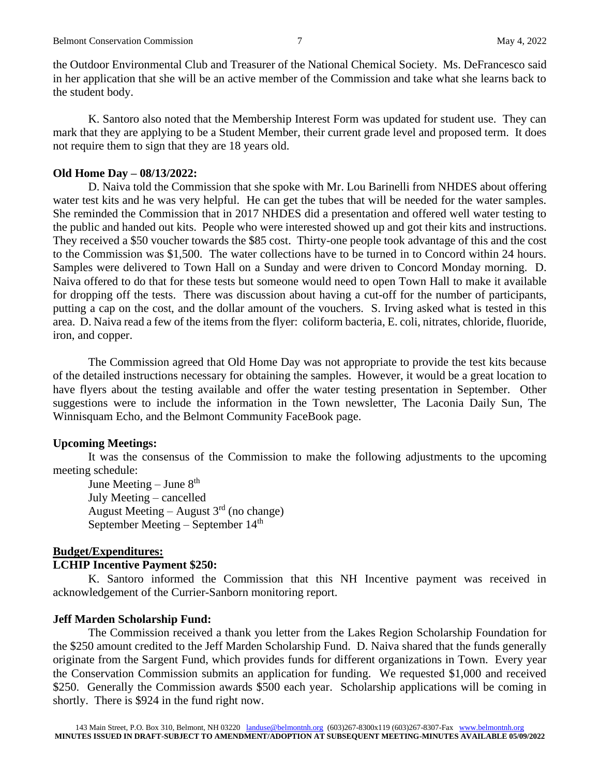the Outdoor Environmental Club and Treasurer of the National Chemical Society. Ms. DeFrancesco said in her application that she will be an active member of the Commission and take what she learns back to the student body.

K. Santoro also noted that the Membership Interest Form was updated for student use. They can mark that they are applying to be a Student Member, their current grade level and proposed term. It does not require them to sign that they are 18 years old.

#### **Old Home Day – 08/13/2022:**

D. Naiva told the Commission that she spoke with Mr. Lou Barinelli from NHDES about offering water test kits and he was very helpful. He can get the tubes that will be needed for the water samples. She reminded the Commission that in 2017 NHDES did a presentation and offered well water testing to the public and handed out kits. People who were interested showed up and got their kits and instructions. They received a \$50 voucher towards the \$85 cost. Thirty-one people took advantage of this and the cost to the Commission was \$1,500. The water collections have to be turned in to Concord within 24 hours. Samples were delivered to Town Hall on a Sunday and were driven to Concord Monday morning. D. Naiva offered to do that for these tests but someone would need to open Town Hall to make it available for dropping off the tests. There was discussion about having a cut-off for the number of participants, putting a cap on the cost, and the dollar amount of the vouchers. S. Irving asked what is tested in this area. D. Naiva read a few of the items from the flyer: coliform bacteria, E. coli, nitrates, chloride, fluoride, iron, and copper.

The Commission agreed that Old Home Day was not appropriate to provide the test kits because of the detailed instructions necessary for obtaining the samples. However, it would be a great location to have flyers about the testing available and offer the water testing presentation in September. Other suggestions were to include the information in the Town newsletter, The Laconia Daily Sun, The Winnisquam Echo, and the Belmont Community FaceBook page.

#### **Upcoming Meetings:**

It was the consensus of the Commission to make the following adjustments to the upcoming meeting schedule:

June Meeting – June  $8<sup>th</sup>$ July Meeting – cancelled August Meeting – August  $3<sup>rd</sup>$  (no change) September Meeting – September 14th

#### **Budget/Expenditures:**

#### **LCHIP Incentive Payment \$250:**

K. Santoro informed the Commission that this NH Incentive payment was received in acknowledgement of the Currier-Sanborn monitoring report.

#### **Jeff Marden Scholarship Fund:**

The Commission received a thank you letter from the Lakes Region Scholarship Foundation for the \$250 amount credited to the Jeff Marden Scholarship Fund. D. Naiva shared that the funds generally originate from the Sargent Fund, which provides funds for different organizations in Town. Every year the Conservation Commission submits an application for funding. We requested \$1,000 and received \$250. Generally the Commission awards \$500 each year. Scholarship applications will be coming in shortly. There is \$924 in the fund right now.